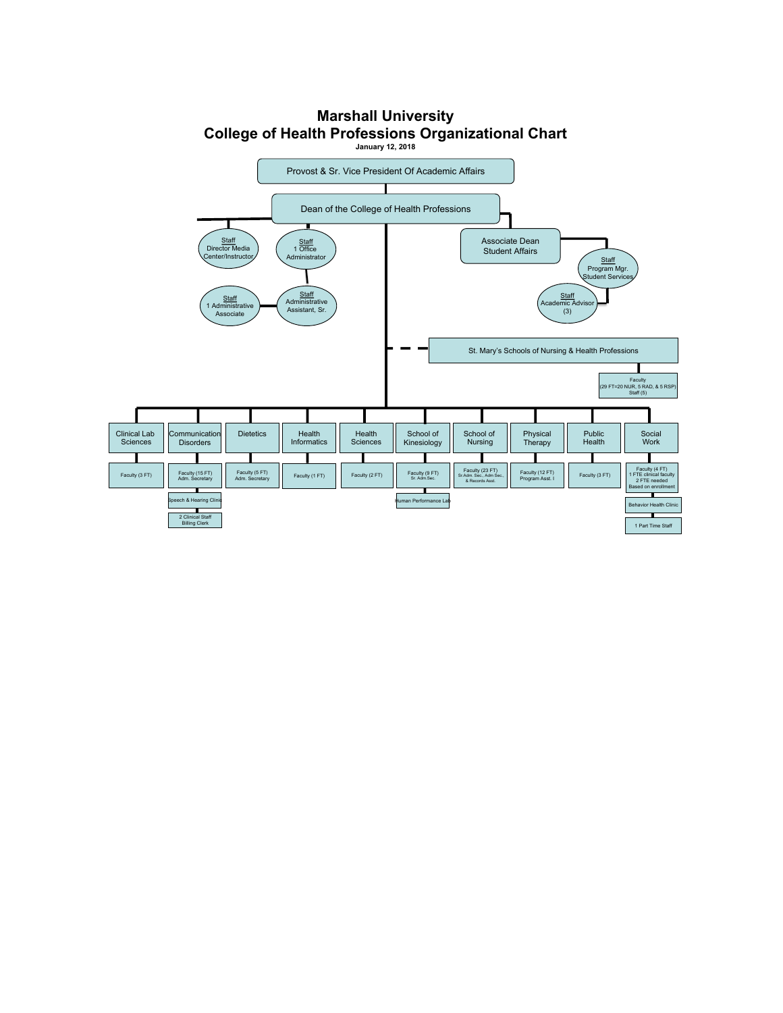

## **Marshall University College of Health Professions Organizational Chart**